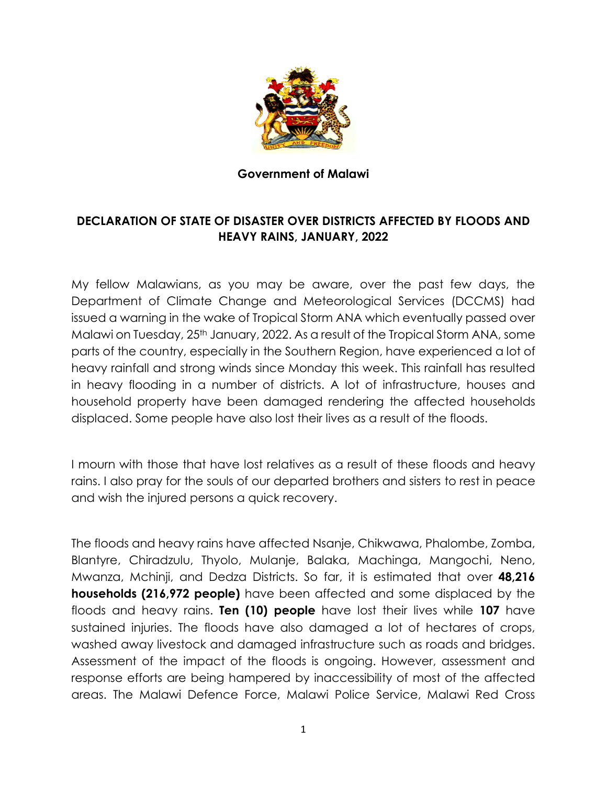

## **Government of Malawi**

## **DECLARATION OF STATE OF DISASTER OVER DISTRICTS AFFECTED BY FLOODS AND HEAVY RAINS, JANUARY, 2022**

My fellow Malawians, as you may be aware, over the past few days, the Department of Climate Change and Meteorological Services (DCCMS) had issued a warning in the wake of Tropical Storm ANA which eventually passed over Malawi on Tuesday, 25<sup>th</sup> January, 2022. As a result of the Tropical Storm ANA, some parts of the country, especially in the Southern Region, have experienced a lot of heavy rainfall and strong winds since Monday this week. This rainfall has resulted in heavy flooding in a number of districts. A lot of infrastructure, houses and household property have been damaged rendering the affected households displaced. Some people have also lost their lives as a result of the floods.

I mourn with those that have lost relatives as a result of these floods and heavy rains. I also pray for the souls of our departed brothers and sisters to rest in peace and wish the injured persons a quick recovery.

The floods and heavy rains have affected Nsanje, Chikwawa, Phalombe, Zomba, Blantyre, Chiradzulu, Thyolo, Mulanje, Balaka, Machinga, Mangochi, Neno, Mwanza, Mchinji, and Dedza Districts. So far, it is estimated that over **48,216 households (216,972 people)** have been affected and some displaced by the floods and heavy rains. **Ten (10) people** have lost their lives while **107** have sustained injuries. The floods have also damaged a lot of hectares of crops, washed away livestock and damaged infrastructure such as roads and bridges. Assessment of the impact of the floods is ongoing. However, assessment and response efforts are being hampered by inaccessibility of most of the affected areas. The Malawi Defence Force, Malawi Police Service, Malawi Red Cross